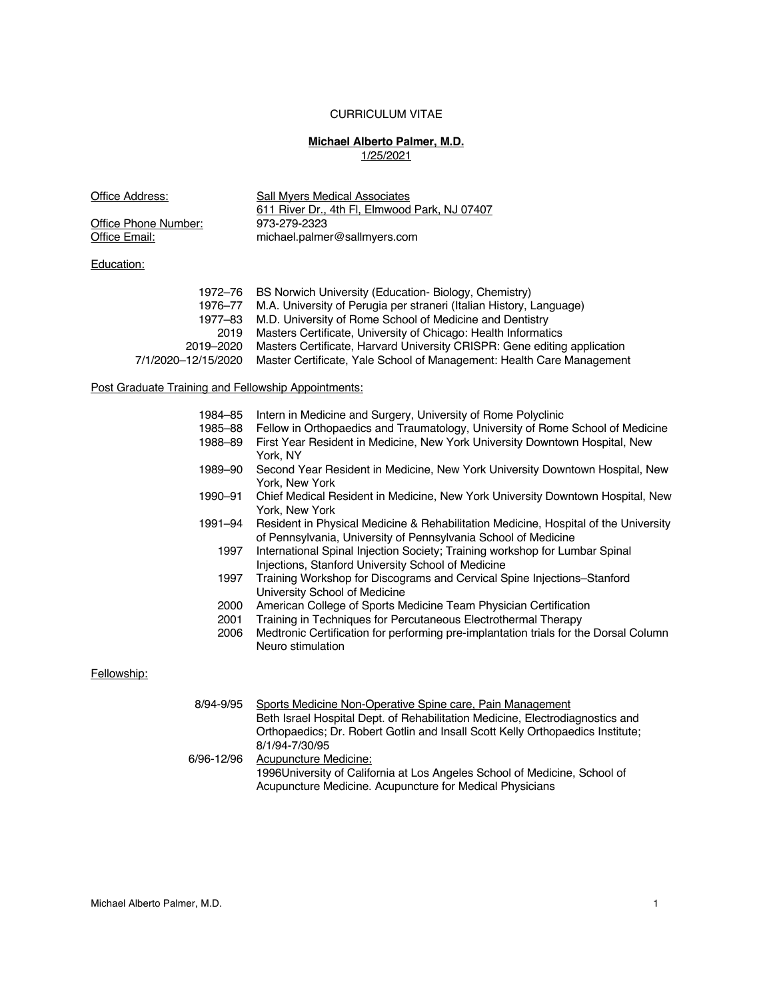# CURRICULUM VITAE

# **Michael Alberto Palmer, M.D.** 1/25/2021

| Office Address:                                     | <b>Sall Myers Medical Associates</b><br>611 River Dr., 4th Fl, Elmwood Park, NJ 07407<br>973-279-2323                                                                                                                                                      |  |
|-----------------------------------------------------|------------------------------------------------------------------------------------------------------------------------------------------------------------------------------------------------------------------------------------------------------------|--|
| Office Phone Number:                                |                                                                                                                                                                                                                                                            |  |
| Office Email:                                       | michael.palmer@sallmyers.com                                                                                                                                                                                                                               |  |
| Education:                                          |                                                                                                                                                                                                                                                            |  |
|                                                     |                                                                                                                                                                                                                                                            |  |
| 1972–76<br>1976-77<br>1977-83<br>2019               | BS Norwich University (Education- Biology, Chemistry)<br>M.A. University of Perugia per straneri (Italian History, Language)<br>M.D. University of Rome School of Medicine and Dentistry<br>Masters Certificate, University of Chicago: Health Informatics |  |
| 2019-2020<br>7/1/2020-12/15/2020                    | Masters Certificate, Harvard University CRISPR: Gene editing application<br>Master Certificate, Yale School of Management: Health Care Management                                                                                                          |  |
| Post Graduate Training and Fellowship Appointments: |                                                                                                                                                                                                                                                            |  |
| 1984–85                                             | Intern in Medicine and Surgery, University of Rome Polyclinic                                                                                                                                                                                              |  |
| 1985-88                                             | Fellow in Orthopaedics and Traumatology, University of Rome School of Medicine                                                                                                                                                                             |  |
| 1988-89                                             | First Year Resident in Medicine, New York University Downtown Hospital, New<br>York, NY                                                                                                                                                                    |  |
| 1989-90                                             | Second Year Resident in Medicine, New York University Downtown Hospital, New<br>York, New York                                                                                                                                                             |  |
| 1990-91                                             | Chief Medical Resident in Medicine, New York University Downtown Hospital, New<br>York, New York                                                                                                                                                           |  |
| 1991–94                                             | Resident in Physical Medicine & Rehabilitation Medicine, Hospital of the University<br>of Pennsylvania, University of Pennsylvania School of Medicine                                                                                                      |  |
| 1997                                                | International Spinal Injection Society; Training workshop for Lumbar Spinal<br>Injections, Stanford University School of Medicine                                                                                                                          |  |
| 1997                                                | Training Workshop for Discograms and Cervical Spine Injections-Stanford<br>University School of Medicine                                                                                                                                                   |  |
| 2000                                                | American College of Sports Medicine Team Physician Certification                                                                                                                                                                                           |  |
| 2001                                                | Training in Techniques for Percutaneous Electrothermal Therapy                                                                                                                                                                                             |  |
| 2006                                                | Medtronic Certification for performing pre-implantation trials for the Dorsal Column<br>Neuro stimulation                                                                                                                                                  |  |
| Fellowship:                                         |                                                                                                                                                                                                                                                            |  |
|                                                     |                                                                                                                                                                                                                                                            |  |
| 8/94-9/95                                           | Sports Medicine Non-Operative Spine care, Pain Management<br>Beth Israel Hospital Dept. of Rehabilitation Medicine, Electrodiagnostics and<br>Orthopaedics; Dr. Robert Gotlin and Insall Scott Kelly Orthopaedics Institute;<br>8/1/94-7/30/95             |  |
| 6/96-12/96                                          | <b>Acupuncture Medicine:</b><br>1996University of California at Los Angeles School of Medicine, School of<br>Acupuncture Medicine. Acupuncture for Medical Physicians                                                                                      |  |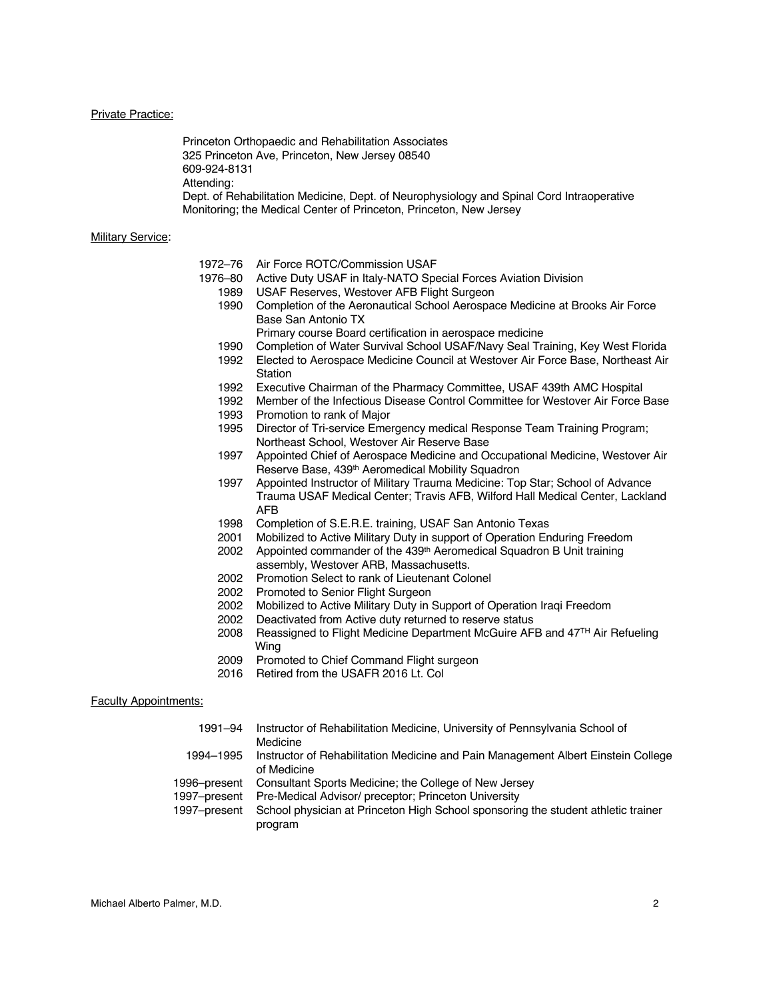#### Private Practice:

Princeton Orthopaedic and Rehabilitation Associates 325 Princeton Ave, Princeton, New Jersey 08540 609-924-8131 Attending: Dept. of Rehabilitation Medicine, Dept. of Neurophysiology and Spinal Cord Intraoperative Monitoring; the Medical Center of Princeton, Princeton, New Jersey

#### **Military Service:**

| 1972–76 Air Force ROTC/Commission USAF |
|----------------------------------------|
|----------------------------------------|

- 1976–80 Active Duty USAF in Italy-NATO Special Forces Aviation Division
	- 1989 USAF Reserves, Westover AFB Flight Surgeon<br>1990 Completion of the Aeronautical School Aerospa
	- Completion of the Aeronautical School Aerospace Medicine at Brooks Air Force Base San Antonio TX
	- Primary course Board certification in aerospace medicine
	- 1990 Completion of Water Survival School USAF/Navy Seal Training, Key West Florida
	- 1992 Elected to Aerospace Medicine Council at Westover Air Force Base, Northeast Air **Station**
	- 1992 Executive Chairman of the Pharmacy Committee, USAF 439th AMC Hospital
	- 1992 Member of the Infectious Disease Control Committee for Westover Air Force Base
	- 1993 Promotion to rank of Major
	- 1995 Director of Tri-service Emergency medical Response Team Training Program; Northeast School, Westover Air Reserve Base
	- 1997 Appointed Chief of Aerospace Medicine and Occupational Medicine, Westover Air Reserve Base, 439th Aeromedical Mobility Squadron
	- 1997 Appointed Instructor of Military Trauma Medicine: Top Star; School of Advance Trauma USAF Medical Center; Travis AFB, Wilford Hall Medical Center, Lackland AFB
	- 1998 Completion of S.E.R.E. training, USAF San Antonio Texas
	- 2001 Mobilized to Active Military Duty in support of Operation Enduring Freedom
	- 2002 Appointed commander of the 439th Aeromedical Squadron B Unit training
	- assembly, Westover ARB, Massachusetts.
	- 2002 Promotion Select to rank of Lieutenant Colonel
	- 2002 Promoted to Senior Flight Surgeon
	- 2002 Mobilized to Active Military Duty in Support of Operation Iraqi Freedom
	- 2002 Deactivated from Active duty returned to reserve status
	- 2008 Reassigned to Flight Medicine Department McGuire AFB and 47TH Air Refueling Wing
	- 2009 Promoted to Chief Command Flight surgeon
	- 2016 Retired from the USAFR 2016 Lt. Col

### Faculty Appointments:

| 1991–94      | Instructor of Rehabilitation Medicine, University of Pennsylvania School of       |
|--------------|-----------------------------------------------------------------------------------|
|              | Medicine                                                                          |
| 1994-1995    | Instructor of Rehabilitation Medicine and Pain Management Albert Einstein College |
|              | of Medicine                                                                       |
| 1996–present | Consultant Sports Medicine; the College of New Jersey                             |
| 1997-present | Pre-Medical Advisor/ preceptor: Princeton University                              |
| 1997-present | School physician at Princeton High School sponsoring the student athletic trainer |
|              | program                                                                           |